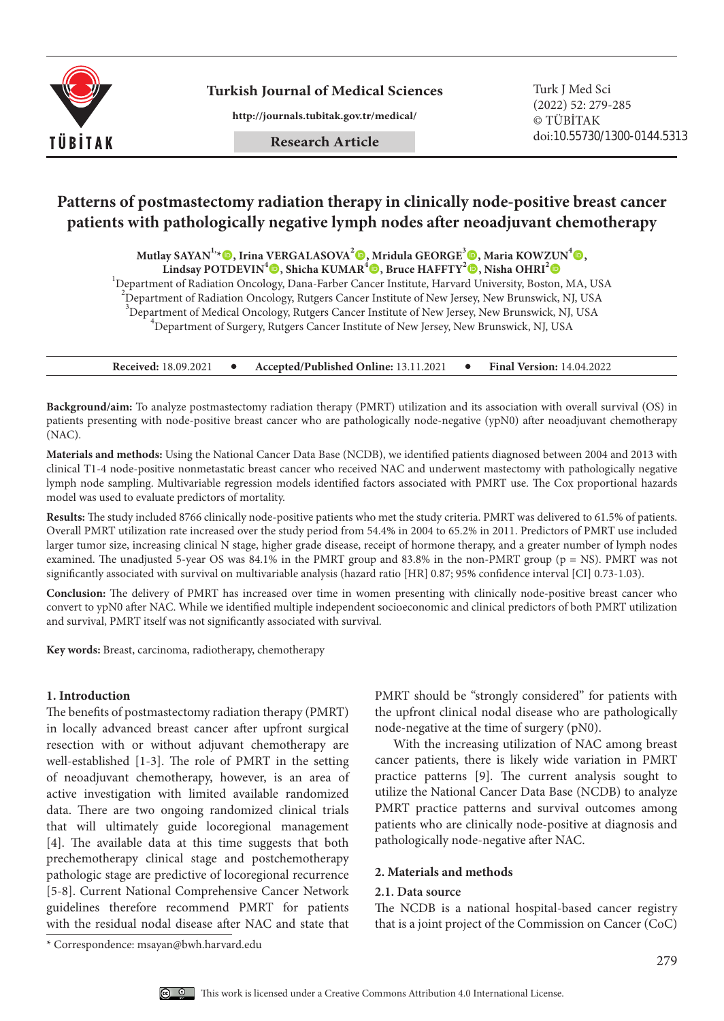

**Turkish Journal of Medical Sciences**

**http://journals.tubitak.gov.tr/medical/**

# **Patterns of postmastectomy radiation therapy in clinically node-positive breast cancer patients with pathologically negative lymph nodes after neoadjuvant chemotherapy**

**Mutlay SAYAN1,\*, Irina VERGALASOVA<sup>2</sup> , Mridula GEORGE<sup>3</sup> , Maria KOWZUN4 ,**

 $\overline{\text{L}}$ indsay POTDEVIN<sup>4</sup>©, Shicha KUMAR<sup>4</sup>©, Bruce HAFFTY<sup>2</sup>©, Nisha OHRI<sup>2</sup>©

<sup>1</sup>Department of Radiation Oncology, Dana-Farber Cancer Institute, Harvard University, Boston, MA, USA

<sup>2</sup> Department of Radiation Oncology, Rutgers Cancer Institute of New Jersey, New Brunswick, NJ, USA

 $3$ Department of Medical Oncology, Rutgers Cancer Institute of New Jersey, New Brunswick, NJ, USA  $4$ Department of Surgery, Dutgers Cancer Institute of New Jersey, New Brunswick, NJ, USA

 $^{4}$ Department of Surgery, Rutgers Cancer Institute of New Jersey, New Brunswick, NJ, USA

**Received:** 18.09.2021 **•** Accepted/Published Online: 13.11.2021 **•** Final Version: 14.04.2022

**Background/aim:** To analyze postmastectomy radiation therapy (PMRT) utilization and its association with overall survival (OS) in patients presenting with node-positive breast cancer who are pathologically node-negative (ypN0) after neoadjuvant chemotherapy (NAC).

**Materials and methods:** Using the National Cancer Data Base (NCDB), we identified patients diagnosed between 2004 and 2013 with clinical T1-4 node-positive nonmetastatic breast cancer who received NAC and underwent mastectomy with pathologically negative lymph node sampling. Multivariable regression models identified factors associated with PMRT use. The Cox proportional hazards model was used to evaluate predictors of mortality.

**Results:** The study included 8766 clinically node-positive patients who met the study criteria. PMRT was delivered to 61.5% of patients. Overall PMRT utilization rate increased over the study period from 54.4% in 2004 to 65.2% in 2011. Predictors of PMRT use included larger tumor size, increasing clinical N stage, higher grade disease, receipt of hormone therapy, and a greater number of lymph nodes examined. The unadjusted 5-year OS was  $84.1\%$  in the PMRT group and  $83.8\%$  in the non-PMRT group (p = NS). PMRT was not significantly associated with survival on multivariable analysis (hazard ratio [HR] 0.87; 95% confidence interval [CI] 0.73-1.03).

**Conclusion:** The delivery of PMRT has increased over time in women presenting with clinically node-positive breast cancer who convert to ypN0 after NAC. While we identified multiple independent socioeconomic and clinical predictors of both PMRT utilization and survival, PMRT itself was not significantly associated with survival.

**Key words:** Breast, carcinoma, radiotherapy, chemotherapy

## **1. Introduction**

The benefits of postmastectomy radiation therapy (PMRT) in locally advanced breast cancer after upfront surgical resection with or without adjuvant chemotherapy are well-established [1-3]. The role of PMRT in the setting of neoadjuvant chemotherapy, however, is an area of active investigation with limited available randomized data. There are two ongoing randomized clinical trials that will ultimately guide locoregional management [4]. The available data at this time suggests that both prechemotherapy clinical stage and postchemotherapy pathologic stage are predictive of locoregional recurrence [5-8]. Current National Comprehensive Cancer Network guidelines therefore recommend PMRT for patients with the residual nodal disease after NAC and state that

PMRT should be "strongly considered" for patients with the upfront clinical nodal disease who are pathologically node-negative at the time of surgery (pN0).

With the increasing utilization of NAC among breast cancer patients, there is likely wide variation in PMRT practice patterns [9]. The current analysis sought to utilize the National Cancer Data Base (NCDB) to analyze PMRT practice patterns and survival outcomes among patients who are clinically node-positive at diagnosis and pathologically node-negative after NAC.

#### **2. Materials and methods**

#### **2.1. Data source**

The NCDB is a national hospital-based cancer registry that is a joint project of the Commission on Cancer (CoC)

<sup>\*</sup> Correspondence: msayan@bwh.harvard.edu

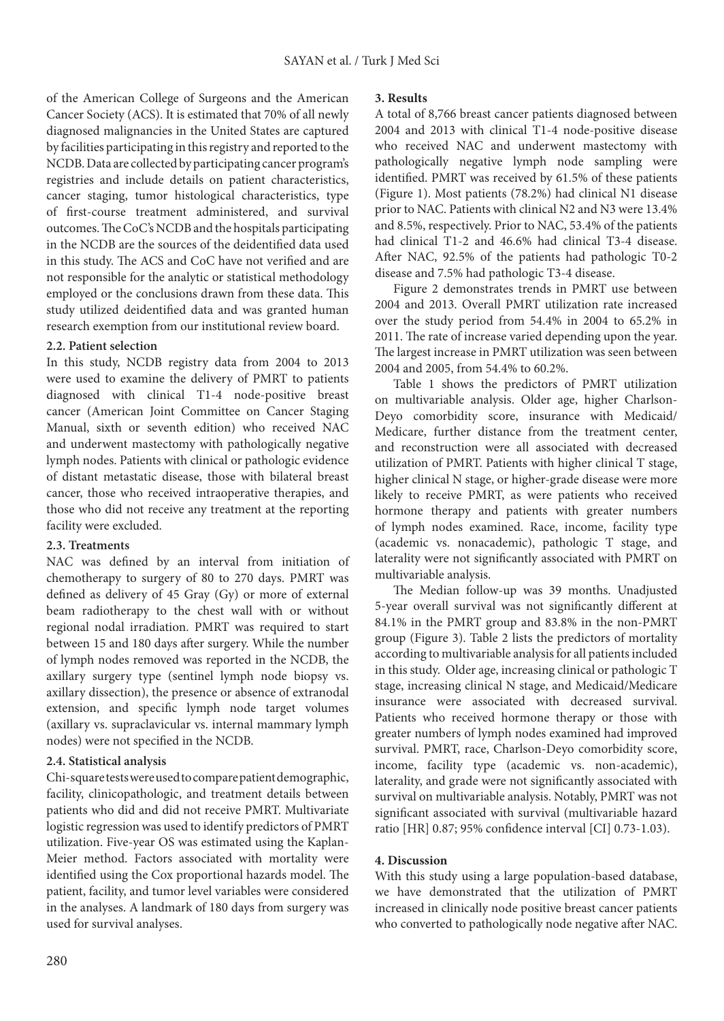of the American College of Surgeons and the American Cancer Society (ACS). It is estimated that 70% of all newly diagnosed malignancies in the United States are captured by facilities participating in this registry and reported to the NCDB. Data are collected by participating cancer program's registries and include details on patient characteristics, cancer staging, tumor histological characteristics, type of first-course treatment administered, and survival outcomes. The CoC's NCDB and the hospitals participating in the NCDB are the sources of the deidentified data used in this study. The ACS and CoC have not verified and are not responsible for the analytic or statistical methodology employed or the conclusions drawn from these data. This study utilized deidentified data and was granted human research exemption from our institutional review board.

## **2.2. Patient selection**

In this study, NCDB registry data from 2004 to 2013 were used to examine the delivery of PMRT to patients diagnosed with clinical T1-4 node-positive breast cancer (American Joint Committee on Cancer Staging Manual, sixth or seventh edition) who received NAC and underwent mastectomy with pathologically negative lymph nodes. Patients with clinical or pathologic evidence of distant metastatic disease, those with bilateral breast cancer, those who received intraoperative therapies, and those who did not receive any treatment at the reporting facility were excluded.

## **2.3. Treatments**

NAC was defined by an interval from initiation of chemotherapy to surgery of 80 to 270 days. PMRT was defined as delivery of 45 Gray (Gy) or more of external beam radiotherapy to the chest wall with or without regional nodal irradiation. PMRT was required to start between 15 and 180 days after surgery. While the number of lymph nodes removed was reported in the NCDB, the axillary surgery type (sentinel lymph node biopsy vs. axillary dissection), the presence or absence of extranodal extension, and specific lymph node target volumes (axillary vs. supraclavicular vs. internal mammary lymph nodes) were not specified in the NCDB.

## **2.4. Statistical analysis**

Chi-square tests were used to compare patient demographic, facility, clinicopathologic, and treatment details between patients who did and did not receive PMRT. Multivariate logistic regression was used to identify predictors of PMRT utilization. Five-year OS was estimated using the Kaplan-Meier method. Factors associated with mortality were identified using the Cox proportional hazards model. The patient, facility, and tumor level variables were considered in the analyses. A landmark of 180 days from surgery was used for survival analyses.

#### **3. Results**

A total of 8,766 breast cancer patients diagnosed between 2004 and 2013 with clinical T1-4 node-positive disease who received NAC and underwent mastectomy with pathologically negative lymph node sampling were identified. PMRT was received by 61.5% of these patients (Figure 1). Most patients (78.2%) had clinical N1 disease prior to NAC. Patients with clinical N2 and N3 were 13.4% and 8.5%, respectively. Prior to NAC, 53.4% of the patients had clinical T1-2 and 46.6% had clinical T3-4 disease. After NAC, 92.5% of the patients had pathologic T0-2 disease and 7.5% had pathologic T3-4 disease.

Figure 2 demonstrates trends in PMRT use between 2004 and 2013. Overall PMRT utilization rate increased over the study period from 54.4% in 2004 to 65.2% in 2011. The rate of increase varied depending upon the year. The largest increase in PMRT utilization was seen between 2004 and 2005, from 54.4% to 60.2%.

Table 1 shows the predictors of PMRT utilization on multivariable analysis. Older age, higher Charlson-Deyo comorbidity score, insurance with Medicaid/ Medicare, further distance from the treatment center, and reconstruction were all associated with decreased utilization of PMRT. Patients with higher clinical T stage, higher clinical N stage, or higher-grade disease were more likely to receive PMRT, as were patients who received hormone therapy and patients with greater numbers of lymph nodes examined. Race, income, facility type (academic vs. nonacademic), pathologic T stage, and laterality were not significantly associated with PMRT on multivariable analysis.

The Median follow-up was 39 months. Unadjusted 5-year overall survival was not significantly different at 84.1% in the PMRT group and 83.8% in the non-PMRT group (Figure 3). Table 2 lists the predictors of mortality according to multivariable analysis for all patients included in this study. Older age, increasing clinical or pathologic T stage, increasing clinical N stage, and Medicaid/Medicare insurance were associated with decreased survival. Patients who received hormone therapy or those with greater numbers of lymph nodes examined had improved survival. PMRT, race, Charlson-Deyo comorbidity score, income, facility type (academic vs. non-academic), laterality, and grade were not significantly associated with survival on multivariable analysis. Notably, PMRT was not significant associated with survival (multivariable hazard ratio [HR] 0.87; 95% confidence interval [CI] 0.73-1.03).

#### **4. Discussion**

With this study using a large population-based database, we have demonstrated that the utilization of PMRT increased in clinically node positive breast cancer patients who converted to pathologically node negative after NAC.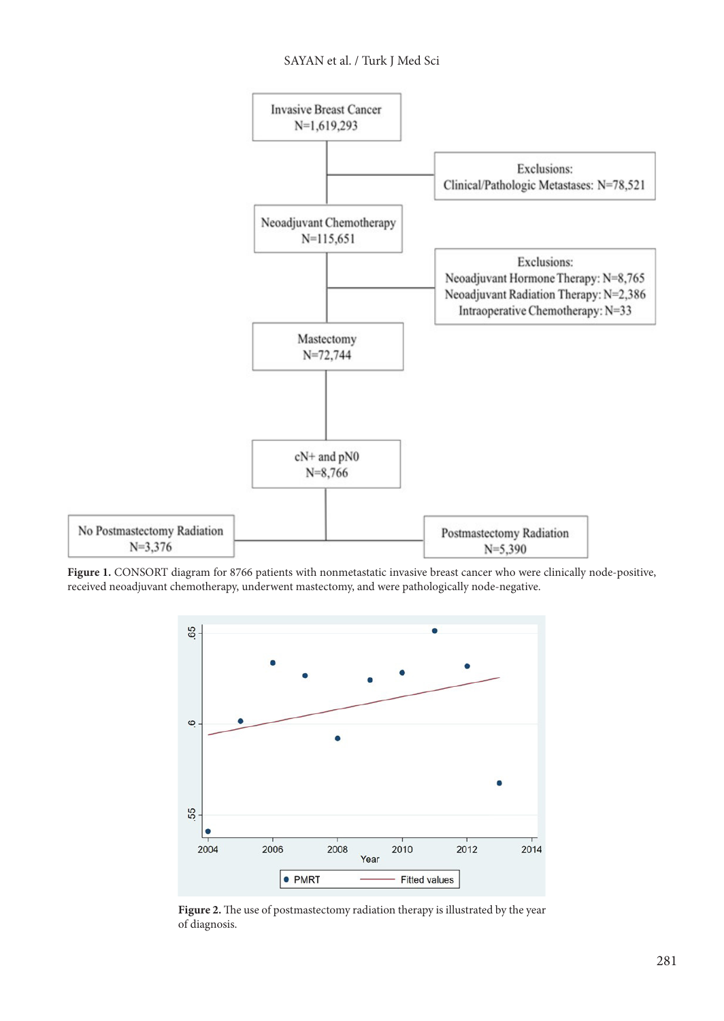## SAYAN et al. / Turk J Med Sci



**Figure 1.** CONSORT diagram for 8766 patients with nonmetastatic invasive breast cancer who were clinically node-positive, received neoadjuvant chemotherapy, underwent mastectomy, and were pathologically node-negative.



**Figure 2.** The use of postmastectomy radiation therapy is illustrated by the year of diagnosis.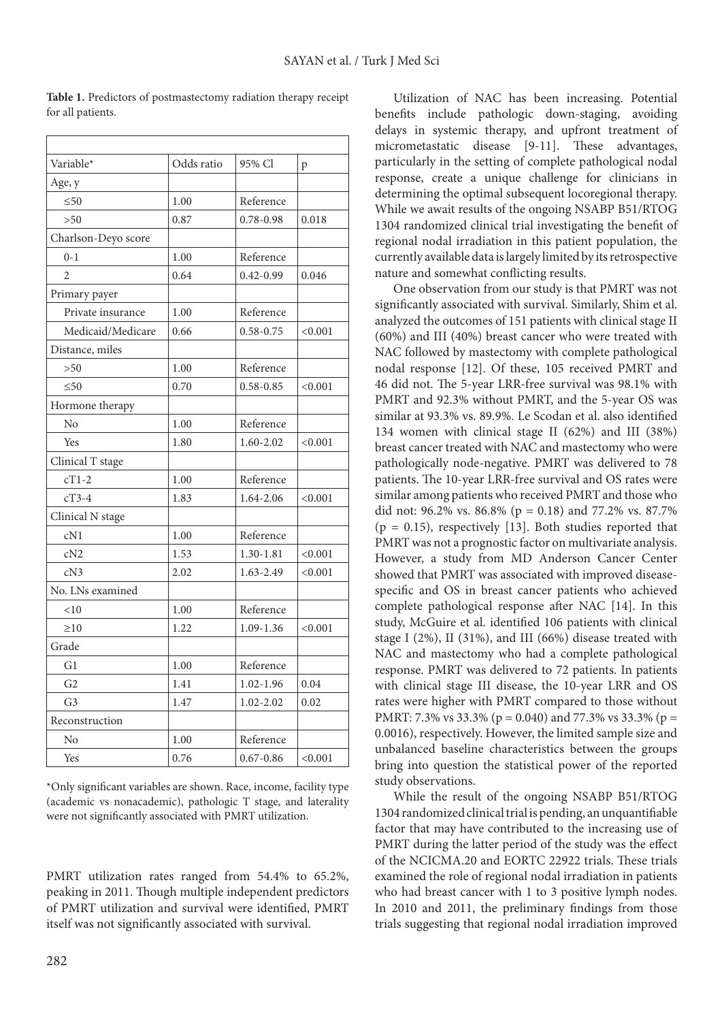| Variable*           | Odds ratio | 95% Cl        | p       |
|---------------------|------------|---------------|---------|
| Age, y              |            |               |         |
| $\leq 50$           | 1.00       | Reference     |         |
| >50                 | 0.87       | $0.78 - 0.98$ | 0.018   |
| Charlson-Deyo score |            |               |         |
| $0 - 1$             | 1.00       | Reference     |         |
| $\overline{2}$      | 0.64       | $0.42 - 0.99$ | 0.046   |
| Primary payer       |            |               |         |
| Private insurance   | 1.00       | Reference     |         |
| Medicaid/Medicare   | 0.66       | $0.58 - 0.75$ | < 0.001 |
| Distance, miles     |            |               |         |
| >50                 | 1.00       | Reference     |         |
| $\leq 50$           | 0.70       | $0.58 - 0.85$ | < 0.001 |
| Hormone therapy     |            |               |         |
| No                  | 1.00       | Reference     |         |
| Yes                 | 1.80       | 1.60-2.02     | < 0.001 |
| Clinical T stage    |            |               |         |
| $cT1-2$             | 1.00       | Reference     |         |
| $cT3-4$             | 1.83       | 1.64-2.06     | < 0.001 |
| Clinical N stage    |            |               |         |
| cN1                 | 1.00       | Reference     |         |
| cN2                 | 1.53       | 1.30-1.81     | < 0.001 |
| cN3                 | 2.02       | 1.63-2.49     | < 0.001 |
| No. LNs examined    |            |               |         |
| < 10                | 1.00       | Reference     |         |
| $\geq 10$           | 1.22       | 1.09-1.36     | < 0.001 |
| Grade               |            |               |         |
| G1                  | 1.00       | Reference     |         |
| G <sub>2</sub>      | 1.41       | $1.02 - 1.96$ | 0.04    |
| G <sub>3</sub>      | 1.47       | $1.02 - 2.02$ | 0.02    |
| Reconstruction      |            |               |         |
| N <sub>0</sub>      | 1.00       | Reference     |         |
| Yes                 | 0.76       | $0.67 - 0.86$ | < 0.001 |

**Table 1.** Predictors of postmastectomy radiation therapy receipt for all patients.

\*Only significant variables are shown. Race, income, facility type (academic vs nonacademic), pathologic T stage, and laterality were not significantly associated with PMRT utilization.

PMRT utilization rates ranged from 54.4% to 65.2%, peaking in 2011. Though multiple independent predictors of PMRT utilization and survival were identified, PMRT itself was not significantly associated with survival.

Utilization of NAC has been increasing. Potential benefits include pathologic down-staging, avoiding delays in systemic therapy, and upfront treatment of micrometastatic disease [9-11]. These advantages, particularly in the setting of complete pathological nodal response, create a unique challenge for clinicians in determining the optimal subsequent locoregional therapy. While we await results of the ongoing NSABP B51/RTOG 1304 randomized clinical trial investigating the benefit of regional nodal irradiation in this patient population, the currently available data is largely limited by its retrospective nature and somewhat conflicting results.

One observation from our study is that PMRT was not significantly associated with survival. Similarly, Shim et al. analyzed the outcomes of 151 patients with clinical stage II (60%) and III (40%) breast cancer who were treated with NAC followed by mastectomy with complete pathological nodal response [12]. Of these, 105 received PMRT and 46 did not. The 5-year LRR-free survival was 98.1% with PMRT and 92.3% without PMRT, and the 5-year OS was similar at 93.3% vs. 89.9%. Le Scodan et al. also identified 134 women with clinical stage II (62%) and III (38%) breast cancer treated with NAC and mastectomy who were pathologically node-negative. PMRT was delivered to 78 patients. The 10-year LRR-free survival and OS rates were similar among patients who received PMRT and those who did not: 96.2% vs. 86.8% ( $p = 0.18$ ) and 77.2% vs. 87.7%  $(p = 0.15)$ , respectively [13]. Both studies reported that PMRT was not a prognostic factor on multivariate analysis. However, a study from MD Anderson Cancer Center showed that PMRT was associated with improved diseasespecific and OS in breast cancer patients who achieved complete pathological response after NAC [14]. In this study, McGuire et al. identified 106 patients with clinical stage I (2%), II (31%), and III (66%) disease treated with NAC and mastectomy who had a complete pathological response. PMRT was delivered to 72 patients. In patients with clinical stage III disease, the 10-year LRR and OS rates were higher with PMRT compared to those without PMRT: 7.3% vs 33.3% ( $p = 0.040$ ) and 77.3% vs 33.3% ( $p =$ 0.0016), respectively. However, the limited sample size and unbalanced baseline characteristics between the groups bring into question the statistical power of the reported study observations.

While the result of the ongoing NSABP B51/RTOG 1304 randomized clinical trial is pending, an unquantifiable factor that may have contributed to the increasing use of PMRT during the latter period of the study was the effect of the NCICMA.20 and EORTC 22922 trials. These trials examined the role of regional nodal irradiation in patients who had breast cancer with 1 to 3 positive lymph nodes. In 2010 and 2011, the preliminary findings from those trials suggesting that regional nodal irradiation improved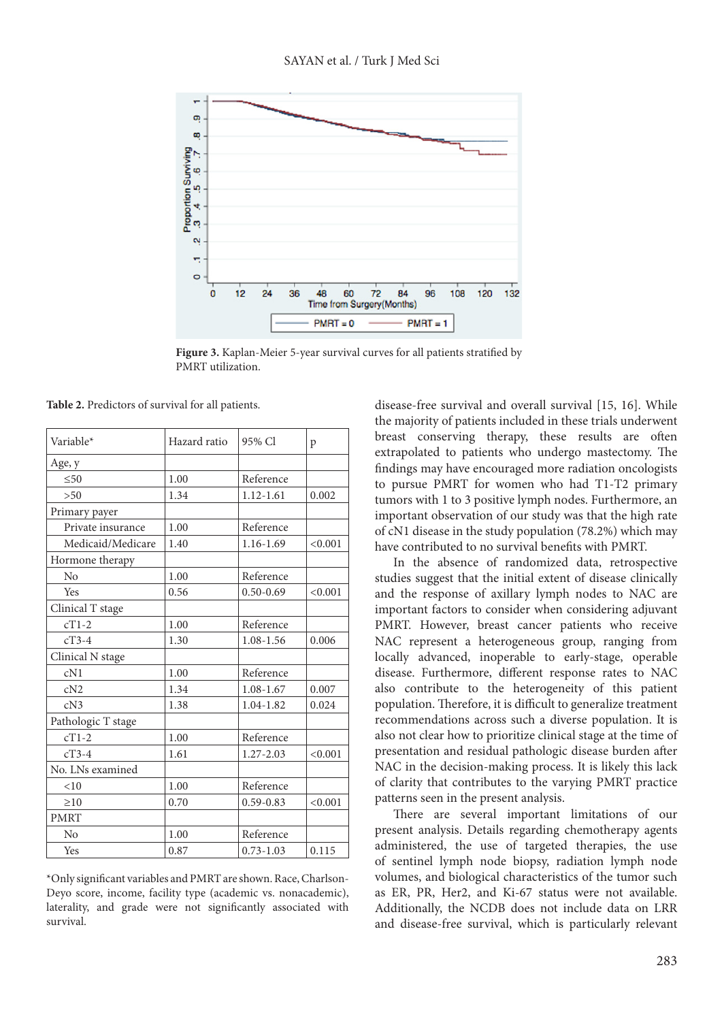

**Figure 3.** Kaplan-Meier 5-year survival curves for all patients stratified by PMRT utilization.

**Table 2.** Predictors of survival for all patients.

| Variable*          | Hazard ratio | 95% Cl        | p       |
|--------------------|--------------|---------------|---------|
| Age, y             |              |               |         |
| $\leq 50$          | 1.00         | Reference     |         |
| >50                | 1.34         | $1.12 - 1.61$ | 0.002   |
| Primary payer      |              |               |         |
| Private insurance  | 1.00         | Reference     |         |
| Medicaid/Medicare  | 1.40         | 1.16-1.69     | < 0.001 |
| Hormone therapy    |              |               |         |
| No                 | 1.00         | Reference     |         |
| Yes                | 0.56         | $0.50 - 0.69$ | < 0.001 |
| Clinical T stage   |              |               |         |
| $cT1-2$            | 1.00         | Reference     |         |
| $cT3-4$            | 1.30         | 1.08-1.56     | 0.006   |
| Clinical N stage   |              |               |         |
| cN1                | 1.00         | Reference     |         |
| cN2                | 1.34         | 1.08-1.67     | 0.007   |
| cN3                | 1.38         | 1.04-1.82     | 0.024   |
| Pathologic T stage |              |               |         |
| $cT1-2$            | 1.00         | Reference     |         |
| $cT3-4$            | 1.61         | 1.27-2.03     | < 0.001 |
| No. LNs examined   |              |               |         |
| < 10               | 1.00         | Reference     |         |
| $\geq 10$          | 0.70         | $0.59 - 0.83$ | < 0.001 |
| <b>PMRT</b>        |              |               |         |
| No                 | 1.00         | Reference     |         |
| Yes                | 0.87         | $0.73 - 1.03$ | 0.115   |

\*Only significant variables and PMRT are shown. Race, Charlson-Deyo score, income, facility type (academic vs. nonacademic), laterality, and grade were not significantly associated with survival.

disease-free survival and overall survival [15, 16]. While the majority of patients included in these trials underwent breast conserving therapy, these results are often extrapolated to patients who undergo mastectomy. The findings may have encouraged more radiation oncologists to pursue PMRT for women who had T1-T2 primary tumors with 1 to 3 positive lymph nodes. Furthermore, an important observation of our study was that the high rate of cN1 disease in the study population (78.2%) which may have contributed to no survival benefits with PMRT.

In the absence of randomized data, retrospective studies suggest that the initial extent of disease clinically and the response of axillary lymph nodes to NAC are important factors to consider when considering adjuvant PMRT. However, breast cancer patients who receive NAC represent a heterogeneous group, ranging from locally advanced, inoperable to early-stage, operable disease. Furthermore, different response rates to NAC also contribute to the heterogeneity of this patient population. Therefore, it is difficult to generalize treatment recommendations across such a diverse population. It is also not clear how to prioritize clinical stage at the time of presentation and residual pathologic disease burden after NAC in the decision-making process. It is likely this lack of clarity that contributes to the varying PMRT practice patterns seen in the present analysis.

There are several important limitations of our present analysis. Details regarding chemotherapy agents administered, the use of targeted therapies, the use of sentinel lymph node biopsy, radiation lymph node volumes, and biological characteristics of the tumor such as ER, PR, Her2, and Ki-67 status were not available. Additionally, the NCDB does not include data on LRR and disease-free survival, which is particularly relevant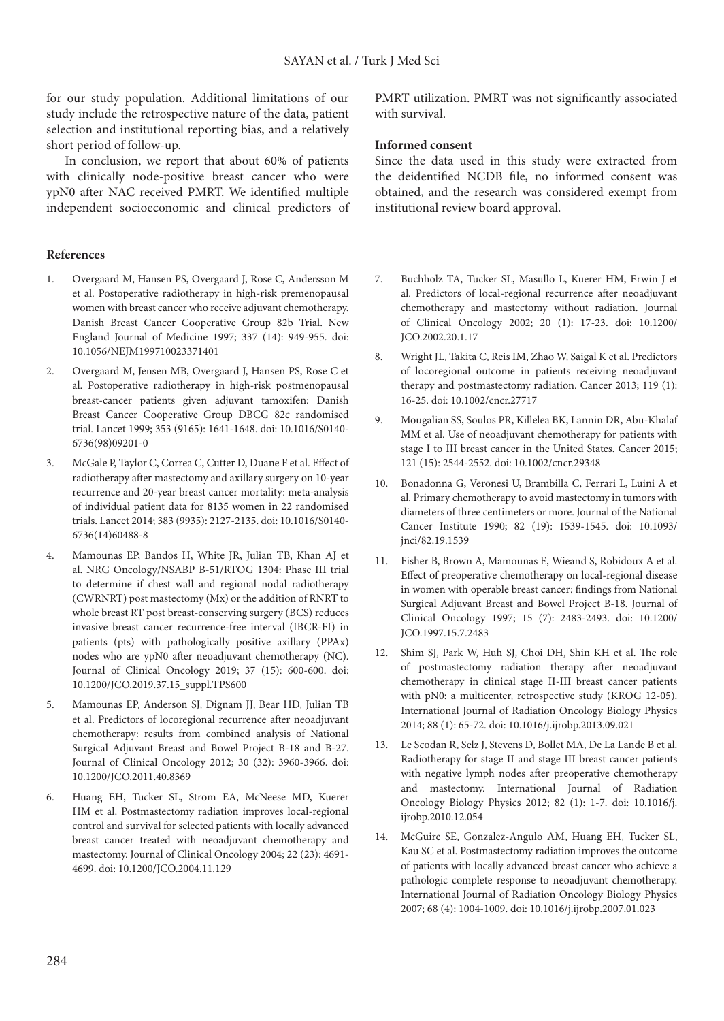for our study population. Additional limitations of our study include the retrospective nature of the data, patient selection and institutional reporting bias, and a relatively short period of follow-up.

In conclusion, we report that about 60% of patients with clinically node-positive breast cancer who were ypN0 after NAC received PMRT. We identified multiple independent socioeconomic and clinical predictors of

### **References**

- 1. Overgaard M, Hansen PS, Overgaard J, Rose C, Andersson M et al. Postoperative radiotherapy in high-risk premenopausal women with breast cancer who receive adjuvant chemotherapy. Danish Breast Cancer Cooperative Group 82b Trial. New England Journal of Medicine 1997; 337 (14): 949-955. doi: 10.1056/NEJM199710023371401
- 2. Overgaard M, Jensen MB, Overgaard J, Hansen PS, Rose C et al. Postoperative radiotherapy in high-risk postmenopausal breast-cancer patients given adjuvant tamoxifen: Danish Breast Cancer Cooperative Group DBCG 82c randomised trial. Lancet 1999; 353 (9165): 1641-1648. doi: 10.1016/S0140- 6736(98)09201-0
- 3. McGale P, Taylor C, Correa C, Cutter D, Duane F et al. Effect of radiotherapy after mastectomy and axillary surgery on 10-year recurrence and 20-year breast cancer mortality: meta-analysis of individual patient data for 8135 women in 22 randomised trials. Lancet 2014; 383 (9935): 2127-2135. doi: 10.1016/S0140- 6736(14)60488-8
- 4. Mamounas EP, Bandos H, White JR, Julian TB, Khan AJ et al. NRG Oncology/NSABP B-51/RTOG 1304: Phase III trial to determine if chest wall and regional nodal radiotherapy (CWRNRT) post mastectomy (Mx) or the addition of RNRT to whole breast RT post breast-conserving surgery (BCS) reduces invasive breast cancer recurrence-free interval (IBCR-FI) in patients (pts) with pathologically positive axillary (PPAx) nodes who are ypN0 after neoadjuvant chemotherapy (NC). Journal of Clinical Oncology 2019; 37 (15): 600-600. doi: 10.1200/JCO.2019.37.15\_suppl.TPS600
- 5. Mamounas EP, Anderson SJ, Dignam JJ, Bear HD, Julian TB et al. Predictors of locoregional recurrence after neoadjuvant chemotherapy: results from combined analysis of National Surgical Adjuvant Breast and Bowel Project B-18 and B-27. Journal of Clinical Oncology 2012; 30 (32): 3960-3966. doi: 10.1200/JCO.2011.40.8369
- 6. Huang EH, Tucker SL, Strom EA, McNeese MD, Kuerer HM et al. Postmastectomy radiation improves local-regional control and survival for selected patients with locally advanced breast cancer treated with neoadjuvant chemotherapy and mastectomy. Journal of Clinical Oncology 2004; 22 (23): 4691- 4699. doi: 10.1200/JCO.2004.11.129

PMRT utilization. PMRT was not significantly associated with survival.

#### **Informed consent**

Since the data used in this study were extracted from the deidentified NCDB file, no informed consent was obtained, and the research was considered exempt from institutional review board approval.

- 7. Buchholz TA, Tucker SL, Masullo L, Kuerer HM, Erwin J et al. Predictors of local-regional recurrence after neoadjuvant chemotherapy and mastectomy without radiation. Journal of Clinical Oncology 2002; 20 (1): 17-23. doi: 10.1200/ JCO.2002.20.1.17
- 8. Wright JL, Takita C, Reis IM, Zhao W, Saigal K et al. Predictors of locoregional outcome in patients receiving neoadjuvant therapy and postmastectomy radiation. Cancer 2013; 119 (1): 16-25. doi: 10.1002/cncr.27717
- 9. Mougalian SS, Soulos PR, Killelea BK, Lannin DR, Abu-Khalaf MM et al. Use of neoadjuvant chemotherapy for patients with stage I to III breast cancer in the United States. Cancer 2015; 121 (15): 2544-2552. doi: 10.1002/cncr.29348
- 10. Bonadonna G, Veronesi U, Brambilla C, Ferrari L, Luini A et al. Primary chemotherapy to avoid mastectomy in tumors with diameters of three centimeters or more. Journal of the National Cancer Institute 1990; 82 (19): 1539-1545. doi: 10.1093/ jnci/82.19.1539
- 11. Fisher B, Brown A, Mamounas E, Wieand S, Robidoux A et al. Effect of preoperative chemotherapy on local-regional disease in women with operable breast cancer: findings from National Surgical Adjuvant Breast and Bowel Project B-18. Journal of Clinical Oncology 1997; 15 (7): 2483-2493. doi: 10.1200/ JCO.1997.15.7.2483
- 12. Shim SJ, Park W, Huh SJ, Choi DH, Shin KH et al. The role of postmastectomy radiation therapy after neoadjuvant chemotherapy in clinical stage II-III breast cancer patients with pN0: a multicenter, retrospective study (KROG 12-05). International Journal of Radiation Oncology Biology Physics 2014; 88 (1): 65-72. doi: 10.1016/j.ijrobp.2013.09.021
- 13. Le Scodan R, Selz J, Stevens D, Bollet MA, De La Lande B et al. Radiotherapy for stage II and stage III breast cancer patients with negative lymph nodes after preoperative chemotherapy and mastectomy. International Journal of Radiation Oncology Biology Physics 2012; 82 (1): 1-7. doi: 10.1016/j. ijrobp.2010.12.054
- 14. McGuire SE, Gonzalez-Angulo AM, Huang EH, Tucker SL, Kau SC et al. Postmastectomy radiation improves the outcome of patients with locally advanced breast cancer who achieve a pathologic complete response to neoadjuvant chemotherapy. International Journal of Radiation Oncology Biology Physics 2007; 68 (4): 1004-1009. doi: 10.1016/j.ijrobp.2007.01.023